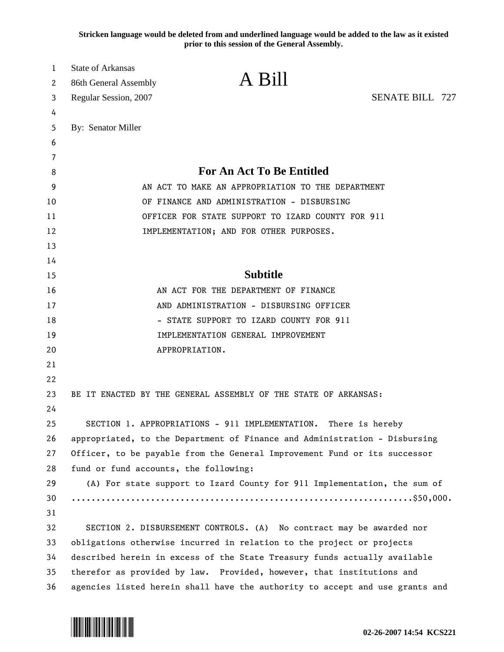**Stricken language would be deleted from and underlined language would be added to the law as it existed prior to this session of the General Assembly.**

| 1  | <b>State of Arkansas</b>                                                   | A Bill                                                                       |                        |
|----|----------------------------------------------------------------------------|------------------------------------------------------------------------------|------------------------|
| 2  | 86th General Assembly                                                      |                                                                              |                        |
| 3  | Regular Session, 2007                                                      |                                                                              | <b>SENATE BILL 727</b> |
| 4  |                                                                            |                                                                              |                        |
| 5  | By: Senator Miller                                                         |                                                                              |                        |
| 6  |                                                                            |                                                                              |                        |
| 7  |                                                                            |                                                                              |                        |
| 8  | For An Act To Be Entitled                                                  |                                                                              |                        |
| 9  | AN ACT TO MAKE AN APPROPRIATION TO THE DEPARTMENT                          |                                                                              |                        |
| 10 | OF FINANCE AND ADMINISTRATION - DISBURSING                                 |                                                                              |                        |
| 11 | OFFICER FOR STATE SUPPORT TO IZARD COUNTY FOR 911                          |                                                                              |                        |
| 12 |                                                                            | IMPLEMENTATION; AND FOR OTHER PURPOSES.                                      |                        |
| 13 |                                                                            |                                                                              |                        |
| 14 |                                                                            |                                                                              |                        |
| 15 |                                                                            | <b>Subtitle</b>                                                              |                        |
| 16 |                                                                            | AN ACT FOR THE DEPARTMENT OF FINANCE                                         |                        |
| 17 | AND ADMINISTRATION - DISBURSING OFFICER                                    |                                                                              |                        |
| 18 |                                                                            | - STATE SUPPORT TO IZARD COUNTY FOR 911                                      |                        |
| 19 |                                                                            | IMPLEMENTATION GENERAL IMPROVEMENT                                           |                        |
| 20 |                                                                            | APPROPRIATION.                                                               |                        |
| 21 |                                                                            |                                                                              |                        |
| 22 |                                                                            |                                                                              |                        |
| 23 |                                                                            | BE IT ENACTED BY THE GENERAL ASSEMBLY OF THE STATE OF ARKANSAS:              |                        |
| 24 |                                                                            |                                                                              |                        |
| 25 |                                                                            | SECTION 1. APPROPRIATIONS - 911 IMPLEMENTATION.                              | There is hereby        |
| 26 | appropriated, to the Department of Finance and Administration - Disbursing |                                                                              |                        |
| 27 | Officer, to be payable from the General Improvement Fund or its successor  |                                                                              |                        |
| 28 | fund or fund accounts, the following:                                      |                                                                              |                        |
| 29 | (A) For state support to Izard County for 911 Implementation, the sum of   |                                                                              |                        |
| 30 |                                                                            |                                                                              |                        |
| 31 |                                                                            |                                                                              |                        |
| 32 | SECTION 2. DISBURSEMENT CONTROLS. (A) No contract may be awarded nor       |                                                                              |                        |
| 33 | obligations otherwise incurred in relation to the project or projects      |                                                                              |                        |
| 34 | described herein in excess of the State Treasury funds actually available  |                                                                              |                        |
| 35 | therefor as provided by law. Provided, however, that institutions and      |                                                                              |                        |
| 36 |                                                                            | agencies listed herein shall have the authority to accept and use grants and |                        |